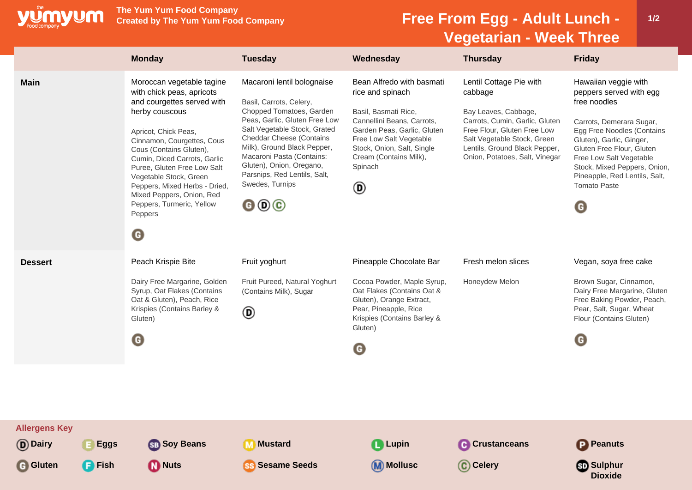

**The Yum Yum Food Company**

## **Free From Egg - Adult Lunch -Vegetarian - Week Three**

**1/2**

|                                                                               | <b>Monday</b>                                                                                                                                                                                                                                                                                                                                                                                                   | <b>Tuesday</b>                                                                                                                                                                                                                                                                                                                                                                        | Wednesday                                                                                                                                                                                                                             | <b>Thursday</b>                                                                                                                                                                                                               | <b>Friday</b>                                                                                                                                                                                                                                                                                              |
|-------------------------------------------------------------------------------|-----------------------------------------------------------------------------------------------------------------------------------------------------------------------------------------------------------------------------------------------------------------------------------------------------------------------------------------------------------------------------------------------------------------|---------------------------------------------------------------------------------------------------------------------------------------------------------------------------------------------------------------------------------------------------------------------------------------------------------------------------------------------------------------------------------------|---------------------------------------------------------------------------------------------------------------------------------------------------------------------------------------------------------------------------------------|-------------------------------------------------------------------------------------------------------------------------------------------------------------------------------------------------------------------------------|------------------------------------------------------------------------------------------------------------------------------------------------------------------------------------------------------------------------------------------------------------------------------------------------------------|
| <b>Main</b>                                                                   | Moroccan vegetable tagine<br>with chick peas, apricots<br>and courgettes served with<br>herby couscous<br>Apricot, Chick Peas,<br>Cinnamon, Courgettes, Cous<br>Cous (Contains Gluten),<br>Cumin, Diced Carrots, Garlic<br>Puree, Gluten Free Low Salt<br>Vegetable Stock, Green<br>Peppers, Mixed Herbs - Dried,<br>Mixed Peppers, Onion, Red<br>Peppers, Turmeric, Yellow<br>Peppers<br>$\boldsymbol{\Theta}$ | Macaroni lentil bolognaise<br>Basil, Carrots, Celery,<br>Chopped Tomatoes, Garden<br>Peas, Garlic, Gluten Free Low<br>Salt Vegetable Stock, Grated<br><b>Cheddar Cheese (Contains</b><br>Milk), Ground Black Pepper,<br>Macaroni Pasta (Contains:<br>Gluten), Onion, Oregano,<br>Parsnips, Red Lentils, Salt,<br>Swedes, Turnips<br>$\mathbf{\Theta} \mathbf{\Theta} \mathbf{\Theta}$ | Bean Alfredo with basmati<br>rice and spinach<br>Basil, Basmati Rice,<br>Cannellini Beans, Carrots,<br>Garden Peas, Garlic, Gluten<br>Free Low Salt Vegetable<br>Stock, Onion, Salt, Single<br>Cream (Contains Milk),<br>Spinach<br>◉ | Lentil Cottage Pie with<br>cabbage<br>Bay Leaves, Cabbage,<br>Carrots, Cumin, Garlic, Gluten<br>Free Flour, Gluten Free Low<br>Salt Vegetable Stock, Green<br>Lentils, Ground Black Pepper,<br>Onion, Potatoes, Salt, Vinegar | Hawaiian veggie with<br>peppers served with egg<br>free noodles<br>Carrots, Demerara Sugar,<br>Egg Free Noodles (Contains<br>Gluten), Garlic, Ginger,<br>Gluten Free Flour, Gluten<br>Free Low Salt Vegetable<br>Stock, Mixed Peppers, Onion,<br>Pineapple, Red Lentils, Salt,<br><b>Tomato Paste</b><br>O |
| <b>Dessert</b>                                                                | Peach Krispie Bite<br>Dairy Free Margarine, Golden<br>Syrup, Oat Flakes (Contains<br>Oat & Gluten), Peach, Rice<br>Krispies (Contains Barley &<br>Gluten)<br>◉                                                                                                                                                                                                                                                  | Fruit yoghurt<br>Fruit Pureed, Natural Yoghurt<br>(Contains Milk), Sugar<br>◉                                                                                                                                                                                                                                                                                                         | Pineapple Chocolate Bar<br>Cocoa Powder, Maple Syrup,<br>Oat Flakes (Contains Oat &<br>Gluten), Orange Extract,<br>Pear, Pineapple, Rice<br>Krispies (Contains Barley &<br>Gluten)<br>G                                               | Fresh melon slices<br>Honeydew Melon                                                                                                                                                                                          | Vegan, soya free cake<br>Brown Sugar, Cinnamon,<br>Dairy Free Margarine, Gluten<br>Free Baking Powder, Peach,<br>Pear, Salt, Sugar, Wheat<br>Flour (Contains Gluten)<br>G                                                                                                                                  |
| <b>Allergens Key</b><br>(D) Dairy<br><b>Eggs</b><br>G Gluten<br><b>P</b> Fish | <b>SB</b> Soy Beans<br><b>M</b> Nuts                                                                                                                                                                                                                                                                                                                                                                            | <b>M</b> Mustard<br><b>SS Sesame Seeds</b>                                                                                                                                                                                                                                                                                                                                            | <b>Q</b> Lupin<br><b>M</b> Mollusc                                                                                                                                                                                                    | <b>C</b> Crustanceans<br>C Celery                                                                                                                                                                                             | <b>P</b> Peanuts<br><b>Sulphur</b><br><b>Dioxide</b>                                                                                                                                                                                                                                                       |